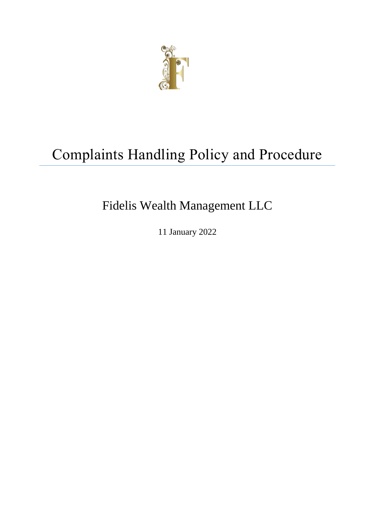

# Complaints Handling Policy and Procedure

# Fidelis Wealth Management LLC

11 January 2022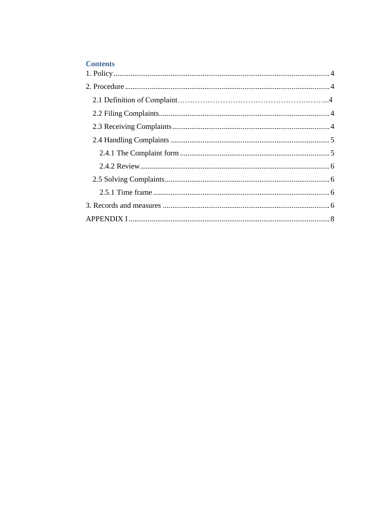## **Contents**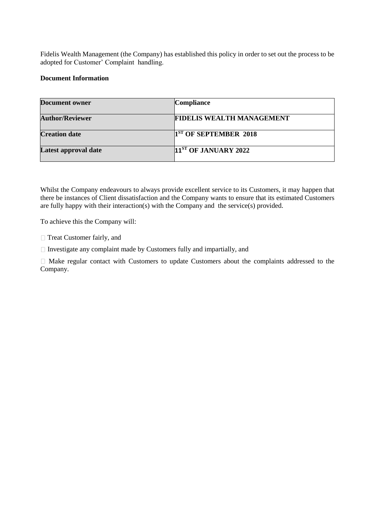Fidelis Wealth Management (the Company) has established this policy in order to set out the process to be adopted for Customer' Complaint handling.

#### **Document Information**

| <b>Document owner</b>  | <b>Compliance</b>                |
|------------------------|----------------------------------|
| <b>Author/Reviewer</b> | <b>FIDELIS WEALTH MANAGEMENT</b> |
| <b>Creation date</b>   | $1ST$ OF SEPTEMBER 2018          |
| Latest approval date   | <b>11ST OF JANUARY 2022</b>      |

Whilst the Company endeavours to always provide excellent service to its Customers, it may happen that there be instances of Client dissatisfaction and the Company wants to ensure that its estimated Customers are fully happy with their interaction(s) with the Company and the service(s) provided.

To achieve this the Company will:

□ Treat Customer fairly, and

 $\Box$  Investigate any complaint made by Customers fully and impartially, and

Make regular contact with Customers to update Customers about the complaints addressed to the Company.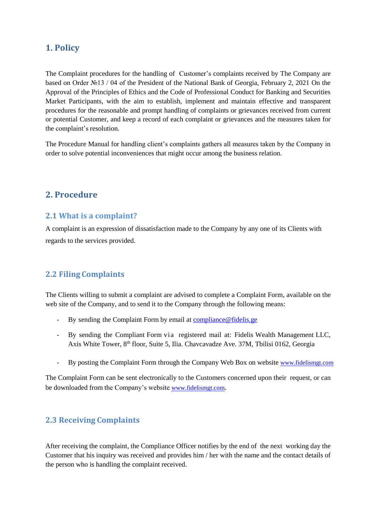## <span id="page-3-0"></span>**1. Policy**

The Complaint procedures for the handling of Customer's complaints received by The Company are based on Order №13 / 04 of the President of the National Bank of Georgia, February 2, 2021 On the Approval of the Principles of Ethics and the Code of Professional Conduct for Banking and Securities Market Participants, with the aim to establish, implement and maintain effective and transparent procedures for the reasonable and prompt handling of complaints or grievances received from current or potential Customer, and keep a record of each complaint or grievances and the measures taken for the complaint's resolution.

The Procedure Manual for handling client's complaints gathers all measures taken by the Company in order to solve potential inconveniences that might occur among the business relation.

## <span id="page-3-1"></span>**2. Procedure**

## **2.1 What is a complaint?**

A complaint is an expression of dissatisfaction made to the Company by any one of its Clients with regards to the services provided.

## <span id="page-3-2"></span>**2.2 Filing Complaints**

The Clients willing to submit a complaint are advised to complete a Complaint Form, available on the web site of the Company, and to send it to the Company through the following means:

- By sending the Complaint Form by email at **compliance**@fidelis.ge
- By sending the Compliant Form via registered mail at: Fidelis Wealth Management LLC, Axis White Tower, 8<sup>th</sup> floor, Suite 5, Ilia. Chavcavadze Ave. 37M, Tbilisi 0162, Georgia
- By posting the Complaint Form through the Company Web Box on website [www.fidelismgt.com](http://www.fidelismgt.com/)

The Complaint Form can be sent electronically to the Customers concerned upon their request, or can be downloaded from the Company's website [www.fidelismgt.com](http://www.fidelismgt.com/).

## <span id="page-3-3"></span>**2.3 Receiving Complaints**

After receiving the complaint, the Compliance Officer notifies by the end of the next working day the Customer that his inquiry was received and provides him / her with the name and the contact details of the person who is handling the complaint received.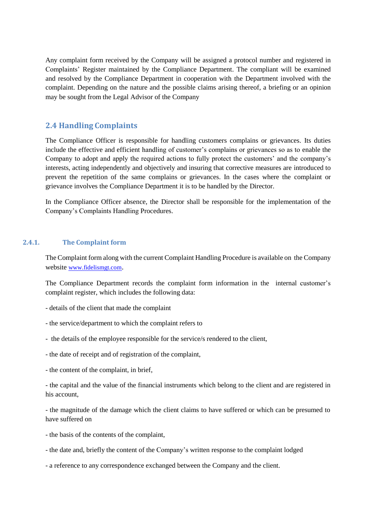<span id="page-4-1"></span><span id="page-4-0"></span>Any complaint form received by the Company will be assigned a protocol number and registered in Complaints' Register maintained by the Compliance Department. The compliant will be examined and resolved by the Compliance Department in cooperation with the Department involved with the complaint. Depending on the nature and the possible claims arising thereof, a briefing or an opinion may be sought from the Legal Advisor of the Company

### **2.4 Handling Complaints**

The Compliance Officer is responsible for handling customers complains or grievances. Its duties include the effective and efficient handling of customer's complains or grievances so as to enable the Company to adopt and apply the required actions to fully protect the customers' and the company's interests, acting independently and objectively and insuring that corrective measures are introduced to prevent the repetition of the same complains or grievances. In the cases where the complaint or grievance involves the Compliance Department it is to be handled by the Director.

In the Compliance Officer absence, the Director shall be responsible for the implementation of the Company's Complaints Handling Procedures.

#### **2.4.1. The Complaint form**

The Complaint form along with the current Complaint Handling Procedure is available on the Company website [www.fidelismgt.com](http://www.fidelismgt.com/).

The Compliance Department records the complaint form information in the internal customer's complaint register, which includes the following data:

- details of the client that made the complaint
- the service/department to which the complaint refers to
- the details of the employee responsible for the service/s rendered to the client,
- the date of receipt and of registration of the complaint,
- the content of the complaint, in brief,

- the capital and the value of the financial instruments which belong to the client and are registered in his account,

- the magnitude of the damage which the client claims to have suffered or which can be presumed to have suffered on

- the basis of the contents of the complaint,
- the date and, briefly the content of the Company's written response to the complaint lodged

- a reference to any correspondence exchanged between the Company and the client.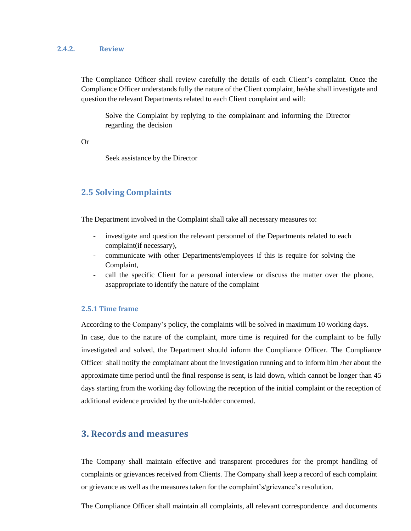#### <span id="page-5-0"></span>**2.4.2. Review**

The Compliance Officer shall review carefully the details of each Client's complaint. Once the Compliance Officer understands fully the nature of the Client complaint, he/she shall investigate and question the relevant Departments related to each Client complaint and will:

Solve the Complaint by replying to the complainant and informing the Director regarding the decision

Or

Seek assistance by the Director

## **2.5 Solving Complaints**

<span id="page-5-1"></span>The Department involved in the Complaint shall take all necessary measures to:

- investigate and question the relevant personnel of the Departments related to each complaint(if necessary),
- communicate with other Departments/employees if this is require for solving the Complaint,
- call the specific Client for a personal interview or discuss the matter over the phone, asappropriate to identify the nature of the complaint

#### **2.5.1 Time frame**

<span id="page-5-2"></span>According to the Company's policy, the complaints will be solved in maximum 10 working days. In case, due to the nature of the complaint, more time is required for the complaint to be fully investigated and solved, the Department should inform the Compliance Officer. The Compliance Officer shall notify the complainant about the investigation running and to inform him /her about the approximate time period until the final response is sent, is laid down, which cannot be longer than 45 days starting from the working day following the reception of the initial complaint or the reception of additional evidence provided by the unit-holder concerned.

## **3. Records and measures**

<span id="page-5-3"></span>The Company shall maintain effective and transparent procedures for the prompt handling of complaints or grievances received from Clients. The Company shall keep a record of each complaint or grievance as well as the measures taken for the complaint's/grievance's resolution.

The Compliance Officer shall maintain all complaints, all relevant correspondence and documents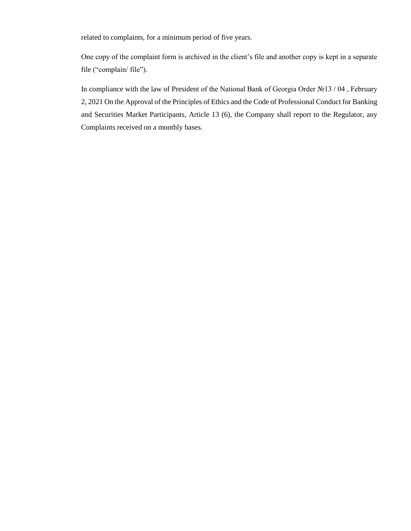related to complaints, for a minimum period of five years.

One copy of the complaint form is archived in the client's file and another copy is kept in a separate file ("complain/ file").

<span id="page-6-0"></span>In compliance with the law of President of the National Bank of Georgia Order №13 / 04 , February 2, 2021 On the Approval of the Principles of Ethics and the Code of Professional Conduct for Banking and Securities Market Participants, Article 13 (6), the Company shall report to the Regulator, any Complaints received on a monthly bases.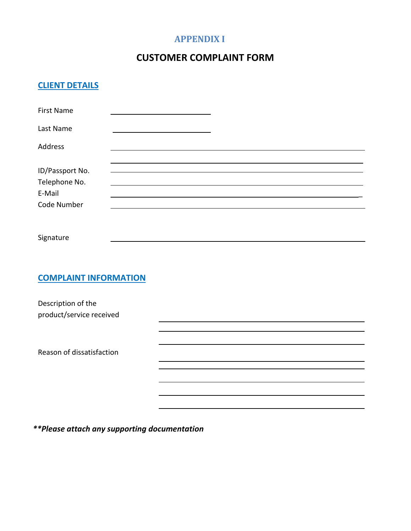# **APPENDIX I**

# **CUSTOMER COMPLAINT FORM**

# **CLIENT DETAILS**

| <b>First Name</b>                                         |  |  |  |
|-----------------------------------------------------------|--|--|--|
| Last Name                                                 |  |  |  |
| Address                                                   |  |  |  |
| ID/Passport No.<br>Telephone No.<br>E-Mail<br>Code Number |  |  |  |
| Signature                                                 |  |  |  |
| <b>COMPLAINT INFORMATION</b>                              |  |  |  |
| Description of the<br>product/service received            |  |  |  |
| Reason of dissatisfaction                                 |  |  |  |
|                                                           |  |  |  |
|                                                           |  |  |  |

*\*\*Please attach any supporting documentation*